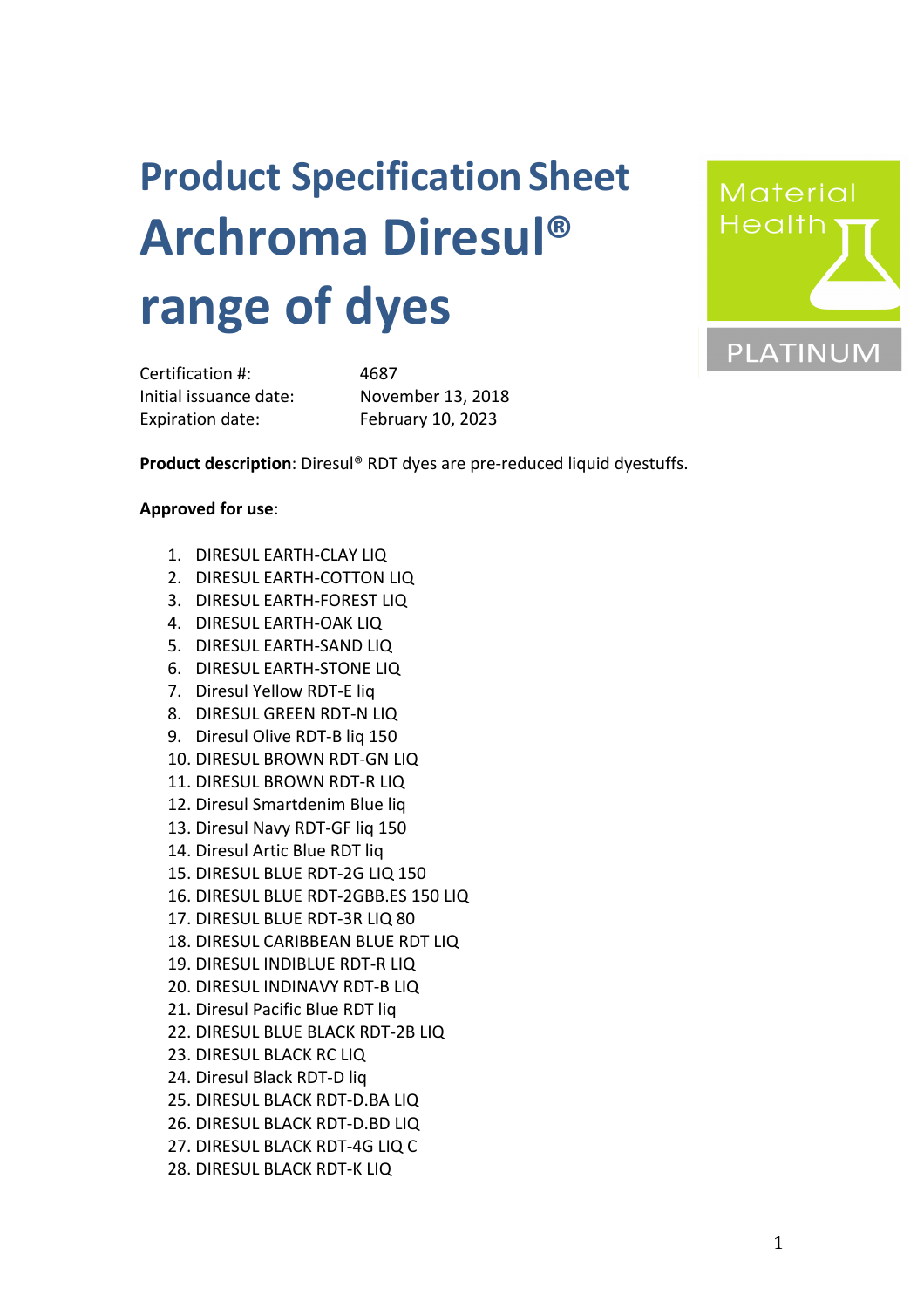## **Product SpecificationSheet Archroma Diresul® range of dyes**



Certification #: 4687 Initial issuance date: November 13, 2018 Expiration date: February 10, 2023

**Product description**: Diresul® RDT dyes are pre-reduced liquid dyestuffs.

## **Approved for use**:

- 1. DIRESUL EARTH-CLAY LIQ
- 2. DIRESUL EARTH-COTTON LIQ
- 3. DIRESUL EARTH-FOREST LIQ
- 4. DIRESUL EARTH-OAK LIQ
- 5. DIRESUL EARTH-SAND LIQ
- 6. DIRESUL EARTH-STONE LIQ
- 7. Diresul Yellow RDT-E liq
- 8. DIRESUL GREEN RDT-N LIQ
- 9. Diresul Olive RDT-B liq 150
- 10. DIRESUL BROWN RDT-GN LIQ
- 11. DIRESUL BROWN RDT-R LIQ
- 12. Diresul Smartdenim Blue liq
- 13. Diresul Navy RDT-GF liq 150
- 14. Diresul Artic Blue RDT liq
- 15. DIRESUL BLUE RDT-2G LIQ 150
- 16. DIRESUL BLUE RDT-2GBB.ES 150 LIQ
- 17. DIRESUL BLUE RDT-3R LIQ 80
- 18. DIRESUL CARIBBEAN BLUE RDT LIQ
- 19. DIRESUL INDIBLUE RDT-R LIQ
- 20. DIRESUL INDINAVY RDT-B LIQ
- 21. Diresul Pacific Blue RDT liq
- 22. DIRESUL BLUE BLACK RDT-2B LIQ
- 23. DIRESUL BLACK RC LIQ
- 24. Diresul Black RDT-D liq
- 25. DIRESUL BLACK RDT-D.BA LIQ
- 26. DIRESUL BLACK RDT-D.BD LIQ
- 27. DIRESUL BLACK RDT-4G LIQ C
- 28. DIRESUL BLACK RDT-K LIQ